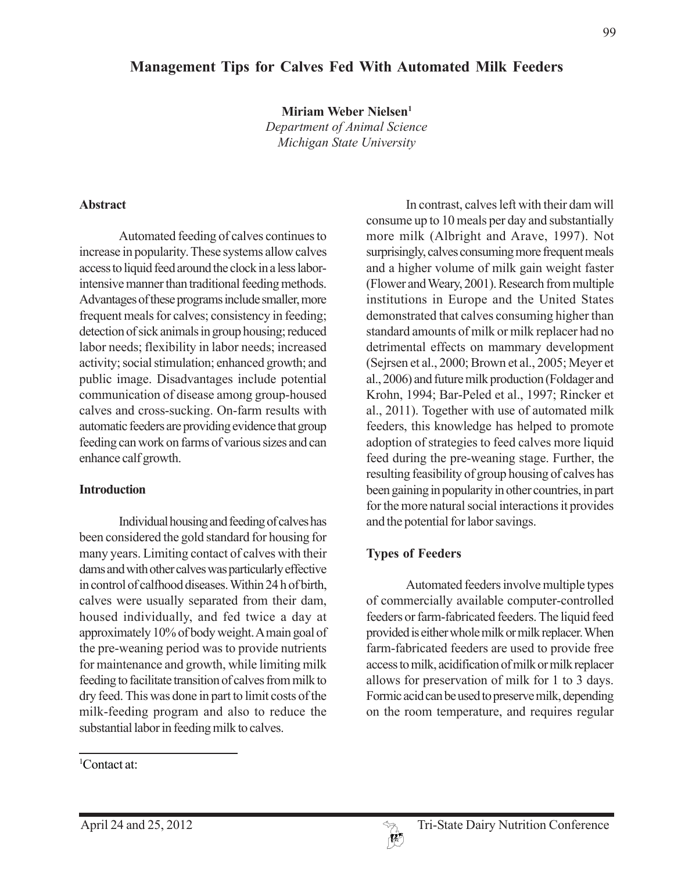# **Management Tips for Calves Fed With Automated Milk Feeders**

**Miriam Weber Nielsen1**

*Department of Animal Science Michigan State University*

#### **Abstract**

Automated feeding of calves continues to increase in popularity. These systems allow calves access to liquid feed around the clock in a less laborintensive manner than traditional feeding methods. Advantages of these programs include smaller, more frequent meals for calves; consistency in feeding; detection of sick animals in group housing; reduced labor needs; flexibility in labor needs; increased activity; social stimulation; enhanced growth; and public image. Disadvantages include potential communication of disease among group-housed calves and cross-sucking. On-farm results with automatic feeders are providing evidence that group feeding can work on farms of various sizes and can enhance calf growth.

#### **Introduction**

Individual housing and feeding of calves has been considered the gold standard for housing for many years. Limiting contact of calves with their dams and with other calves was particularly effective in control of calfhood diseases. Within 24 h of birth, calves were usually separated from their dam, housed individually, and fed twice a day at approximately 10% of body weight. A main goal of the pre-weaning period was to provide nutrients for maintenance and growth, while limiting milk feeding to facilitate transition of calves from milk to dry feed. This was done in part to limit costs of the milk-feeding program and also to reduce the substantial labor in feeding milk to calves.

In contrast, calves left with their dam will consume up to 10 meals per day and substantially more milk (Albright and Arave, 1997). Not surprisingly, calves consuming more frequent meals and a higher volume of milk gain weight faster (Flower and Weary, 2001). Research from multiple institutions in Europe and the United States demonstrated that calves consuming higher than standard amounts of milk or milk replacer had no detrimental effects on mammary development (Sejrsen et al., 2000; Brown et al., 2005; Meyer et al., 2006) and future milk production (Foldager and Krohn, 1994; Bar-Peled et al., 1997; Rincker et al., 2011). Together with use of automated milk feeders, this knowledge has helped to promote adoption of strategies to feed calves more liquid feed during the pre-weaning stage. Further, the resulting feasibility of group housing of calves has been gaining in popularity in other countries, in part for the more natural social interactions it provides and the potential for labor savings.

#### **Types of Feeders**

Automated feeders involve multiple types of commercially available computer-controlled feeders or farm-fabricated feeders. The liquid feed provided is either whole milk or milk replacer. When farm-fabricated feeders are used to provide free access to milk, acidification of milk or milk replacer allows for preservation of milk for 1 to 3 days. Formic acid can be used to preserve milk, depending on the room temperature, and requires regular

<sup>1</sup> Contact at: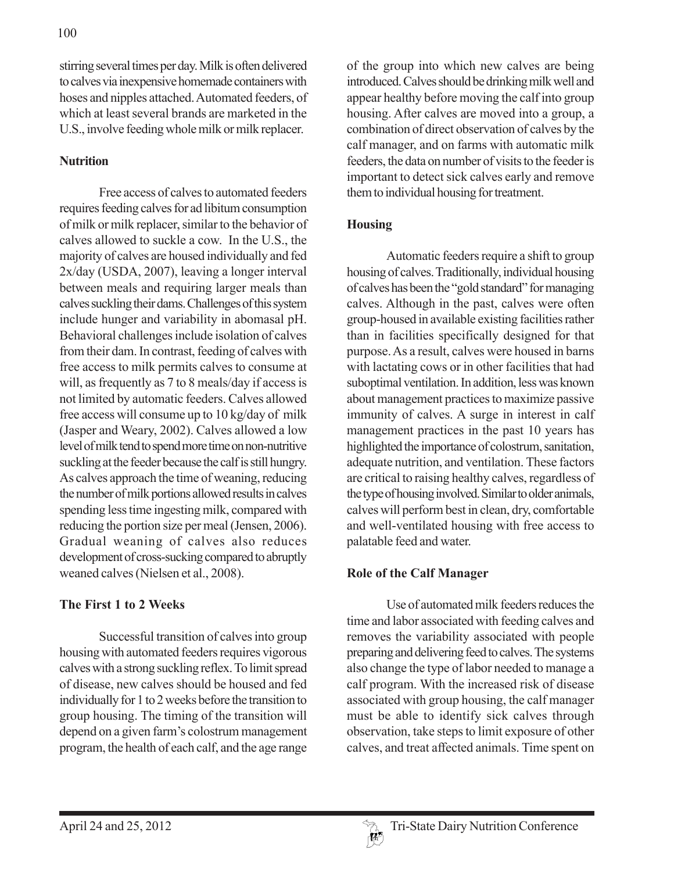stirring several times per day. Milk is often delivered to calves via inexpensive homemade containers with hoses and nipples attached. Automated feeders, of which at least several brands are marketed in the U.S., involve feeding whole milk or milk replacer.

# **Nutrition**

Free access of calves to automated feeders requires feeding calves for ad libitum consumption of milk or milk replacer, similar to the behavior of calves allowed to suckle a cow. In the U.S., the majority of calves are housed individually and fed 2x/day (USDA, 2007), leaving a longer interval between meals and requiring larger meals than calves suckling their dams. Challenges of this system include hunger and variability in abomasal pH. Behavioral challenges include isolation of calves from their dam. In contrast, feeding of calves with free access to milk permits calves to consume at will, as frequently as 7 to 8 meals/day if access is not limited by automatic feeders. Calves allowed free access will consume up to 10 kg/day of milk (Jasper and Weary, 2002). Calves allowed a low level of milk tend to spend more time on non-nutritive suckling at the feeder because the calf is still hungry. As calves approach the time of weaning, reducing the number of milk portions allowed results in calves spending less time ingesting milk, compared with reducing the portion size per meal (Jensen, 2006). Gradual weaning of calves also reduces development of cross-sucking compared to abruptly weaned calves (Nielsen et al., 2008).

### **The First 1 to 2 Weeks**

Successful transition of calves into group housing with automated feeders requires vigorous calves with a strong suckling reflex. To limit spread of disease, new calves should be housed and fed individually for 1 to 2 weeks before the transition to group housing. The timing of the transition will depend on a given farm's colostrum management program, the health of each calf, and the age range

of the group into which new calves are being introduced. Calves should be drinking milk well and appear healthy before moving the calf into group housing. After calves are moved into a group, a combination of direct observation of calves by the calf manager, and on farms with automatic milk feeders, the data on number of visits to the feeder is important to detect sick calves early and remove them to individual housing for treatment.

# **Housing**

Automatic feeders require a shift to group housing of calves. Traditionally, individual housing of calves has been the "gold standard" for managing calves. Although in the past, calves were often group-housed in available existing facilities rather than in facilities specifically designed for that purpose. As a result, calves were housed in barns with lactating cows or in other facilities that had suboptimal ventilation. In addition, less was known about management practices to maximize passive immunity of calves. A surge in interest in calf management practices in the past 10 years has highlighted the importance of colostrum, sanitation, adequate nutrition, and ventilation. These factors are critical to raising healthy calves, regardless of the type of housing involved. Similar to older animals, calves will perform best in clean, dry, comfortable and well-ventilated housing with free access to palatable feed and water.

### **Role of the Calf Manager**

Use of automated milk feeders reduces the time and labor associated with feeding calves and removes the variability associated with people preparing and delivering feed to calves. The systems also change the type of labor needed to manage a calf program. With the increased risk of disease associated with group housing, the calf manager must be able to identify sick calves through observation, take steps to limit exposure of other calves, and treat affected animals. Time spent on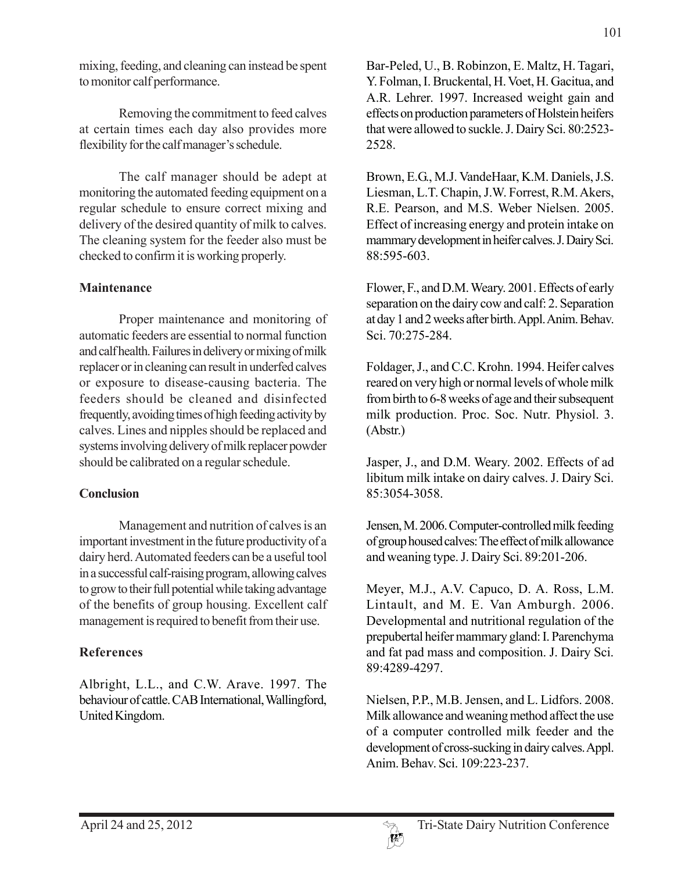mixing, feeding, and cleaning can instead be spent to monitor calf performance.

Removing the commitment to feed calves at certain times each day also provides more flexibility for the calf manager's schedule.

The calf manager should be adept at monitoring the automated feeding equipment on a regular schedule to ensure correct mixing and delivery of the desired quantity of milk to calves. The cleaning system for the feeder also must be checked to confirm it is working properly.

#### **Maintenance**

Proper maintenance and monitoring of automatic feeders are essential to normal function and calf health. Failures in delivery or mixing of milk replacer or in cleaning can result in underfed calves or exposure to disease-causing bacteria. The feeders should be cleaned and disinfected frequently, avoiding times of high feeding activity by calves. Lines and nipples should be replaced and systems involving delivery of milk replacer powder should be calibrated on a regular schedule.

#### **Conclusion**

Management and nutrition of calves is an important investment in the future productivity of a dairy herd. Automated feeders can be a useful tool in a successful calf-raising program, allowing calves to grow to their full potential while taking advantage of the benefits of group housing. Excellent calf management is required to benefit from their use.

### **References**

Albright, L.L., and C.W. Arave. 1997. The behaviour of cattle. CAB International, Wallingford, United Kingdom.

Bar-Peled, U., B. Robinzon, E. Maltz, H. Tagari, Y. Folman, I. Bruckental, H. Voet, H. Gacitua, and A.R. Lehrer. 1997. Increased weight gain and effects on production parameters of Holstein heifers that were allowed to suckle. J. Dairy Sci. 80:2523- 2528.

Brown, E.G., M.J. VandeHaar, K.M. Daniels, J.S. Liesman, L.T. Chapin, J.W. Forrest, R.M. Akers, R.E. Pearson, and M.S. Weber Nielsen. 2005. Effect of increasing energy and protein intake on mammary development in heifer calves. J. Dairy Sci. 88:595-603.

Flower, F., and D.M. Weary. 2001. Effects of early separation on the dairy cow and calf: 2. Separation at day 1 and 2 weeks after birth. Appl. Anim. Behav. Sci. 70:275-284.

Foldager, J., and C.C. Krohn. 1994. Heifer calves reared on very high or normal levels of whole milk from birth to 6-8 weeks of age and their subsequent milk production. Proc. Soc. Nutr. Physiol. 3. (Abstr.)

Jasper, J., and D.M. Weary. 2002. Effects of ad libitum milk intake on dairy calves. J. Dairy Sci. 85:3054-3058.

Jensen, M. 2006. Computer-controlled milk feeding of group housed calves: The effect of milk allowance and weaning type. J. Dairy Sci. 89:201-206.

Meyer, M.J., A.V. Capuco, D. A. Ross, L.M. Lintault, and M. E. Van Amburgh. 2006. Developmental and nutritional regulation of the prepubertal heifer mammary gland: I. Parenchyma and fat pad mass and composition. J. Dairy Sci. 89:4289-4297.

Nielsen, P.P., M.B. Jensen, and L. Lidfors. 2008. Milk allowance and weaning method affect the use of a computer controlled milk feeder and the development of cross-sucking in dairy calves. Appl. Anim. Behav. Sci. 109:223-237.